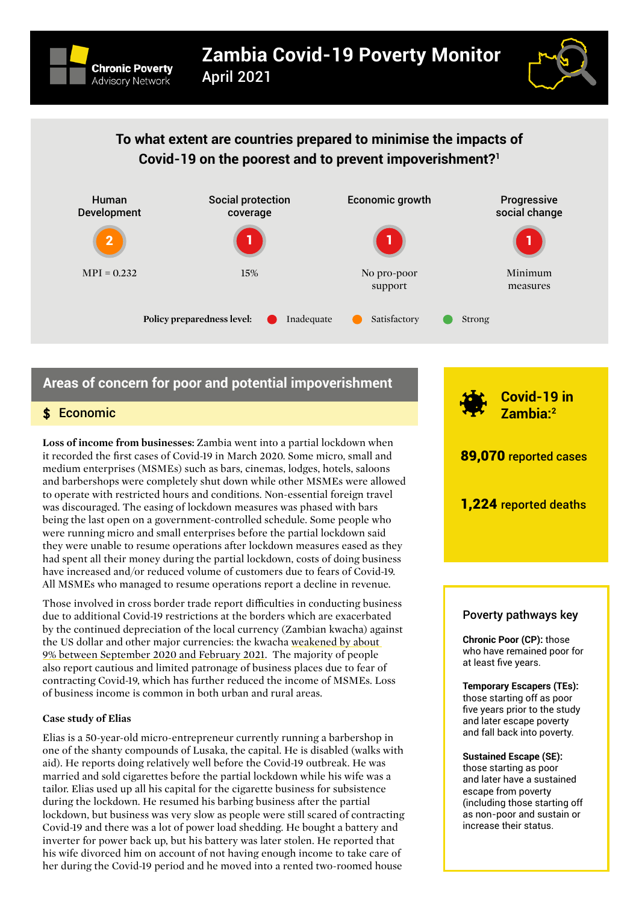



# **To what extent are countries prepared to minimise the impacts of Covid-19 on the poorest and to prevent impoverishment?[1](#page-4-0)**



# **Areas of concern for poor and potential impoverishment**

## \$ Economic

**Loss of income from businesses:** Zambia went into a partial lockdown when it recorded the first cases of Covid-19 in March 2020. Some micro, small and medium enterprises (MSMEs) such as bars, cinemas, lodges, hotels, saloons and barbershops were completely shut down while other MSMEs were allowed to operate with restricted hours and conditions. Non-essential foreign travel was discouraged. The easing of lockdown measures was phased with bars being the last open on a government-controlled schedule. Some people who were running micro and small enterprises before the partial lockdown said they were unable to resume operations after lockdown measures eased as they had spent all their money during the partial lockdown, costs of doing business have increased and/or reduced volume of customers due to fears of Covid-19. All MSMEs who managed to resume operations report a decline in revenue.

Those involved in cross border trade report difficulties in conducting business due to additional Covid-19 restrictions at the borders which are exacerbated by the continued depreciation of the local currency (Zambian kwacha) against the US dollar and other major currencies: the kwacha weakened by about [9% between September 2020 and February 2021.](https://www.bloomberg.com/news/articles/2021-02-03/zambian-currency-s-42-day-losing-streak-not-about-to-end) The majority of people also report cautious and limited patronage of business places due to fear of contracting Covid-19, which has further reduced the income of MSMEs. Loss of business income is common in both urban and rural areas.

### **Case study of Elias**

Elias is a 50-year-old micro-entrepreneur currently running a barbershop in one of the shanty compounds of Lusaka, the capital. He is disabled (walks with aid). He reports doing relatively well before the Covid-19 outbreak. He was married and sold cigarettes before the partial lockdown while his wife was a tailor. Elias used up all his capital for the cigarette business for subsistence during the lockdown. He resumed his barbing business after the partial lockdown, but business was very slow as people were still scared of contracting Covid-19 and there was a lot of power load shedding. He bought a battery and inverter for power back up, but his battery was later stolen. He reported that his wife divorced him on account of not having enough income to take care of her during the Covid-19 period and he moved into a rented two-roomed house



### Poverty pathways key

**Chronic Poor (CP):** those who have remained poor for at least five years.

**Temporary Escapers (TEs):**  those starting off as poor five years prior to the study and later escape poverty and fall back into poverty.

**Sustained Escape (SE):** those starting as poor and later have a sustained escape from poverty (including those starting off as non-poor and sustain or increase their status.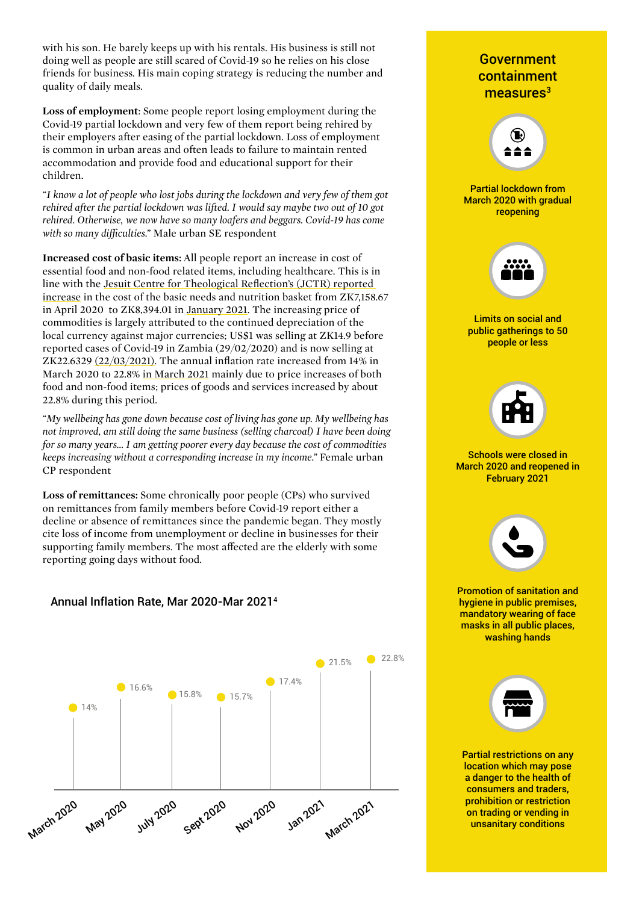with his son. He barely keeps up with his rentals. His business is still not doing well as people are still scared of Covid-19 so he relies on his close friends for business. His main coping strategy is reducing the number and quality of daily meals.

**Loss of employment**: Some people report losing employment during the Covid-19 partial lockdown and very few of them report being rehired by their employers after easing of the partial lockdown. Loss of employment is common in urban areas and often leads to failure to maintain rented accommodation and provide food and educational support for their children.

*"I know a lot of people who lost jobs during the lockdown and very few of them got rehired after the partial lockdown was lifted. I would say maybe two out of 10 got rehired. Otherwise, we now have so many loafers and beggars. Covid-19 has come with so many difficulties."* Male urban SE respondent

**Increased cost of basic items:** All people report an increase in cost of essential food and non-food related items, including healthcare. This is in line with the [Jesuit Centre for Theological Reflection's \(JCTR\) reported](https://www.jctr.org.zm/bnnb/archives/06-2020)  [increase](https://www.jctr.org.zm/bnnb/archives/06-2020) in the cost of the basic needs and nutrition basket from ZK7,158.67 in April 2020 to ZK8,394.01 in [January 2021.](https://www.themastonline.com/2021/02/12/basic-needs-basket-rises-to-k8394/) The increasing price of commodities is largely attributed to the continued depreciation of the local currency against major currencies; US\$1 was selling at ZK14.9 before reported cases of Covid-19 in Zambia (29/02/2020) and is now selling at ZK22.6329 [\(22/03/2021\)](https://www1.oanda.com/currency/converter/). The annual inflation rate increased from 14% in March 2020 to 22.8% [in March 2021](https://www.zamstats.gov.zm/phocadownload/Monthly/2021/Vol 216 of 2021 The Monthly March.pdf) mainly due to price increases of both food and non-food items; prices of goods and services increased by about 22.8% during this period.

*"My wellbeing has gone down because cost of living has gone up. My wellbeing has not improved, am still doing the same business (selling charcoal) I have been doing for so many years… I am getting poorer every day because the cost of commodities keeps increasing without a corresponding increase in my income."* Female urban CP respondent

**Loss of remittances:** Some chronically poor people (CPs) who survived on remittances from family members before Covid-19 report either a decline or absence of remittances since the pandemic began. They mostly cite loss of income from unemployment or decline in businesses for their supporting family members. The most affected are the elderly with some reporting going days without food.



# Annual Inflation Rate, Mar 2020-Mar 20214

# Government containment measures<sup>3</sup> Limits on social and public gatherings to 50 people or less Partial lockdown from March 2020 with gradual reopening Schools were closed in March 2020 and reopened in February 2021 **Created by Kamin Ginkaew from the Noun Project** Partial restrictions on any location which may pose a danger to the health of consumers and traders, prohibition or restriction on trading or vending in unsanitary conditions Promotion of sanitation and hygiene in public premises, mandatory wearing of face masks in all public places, washing hands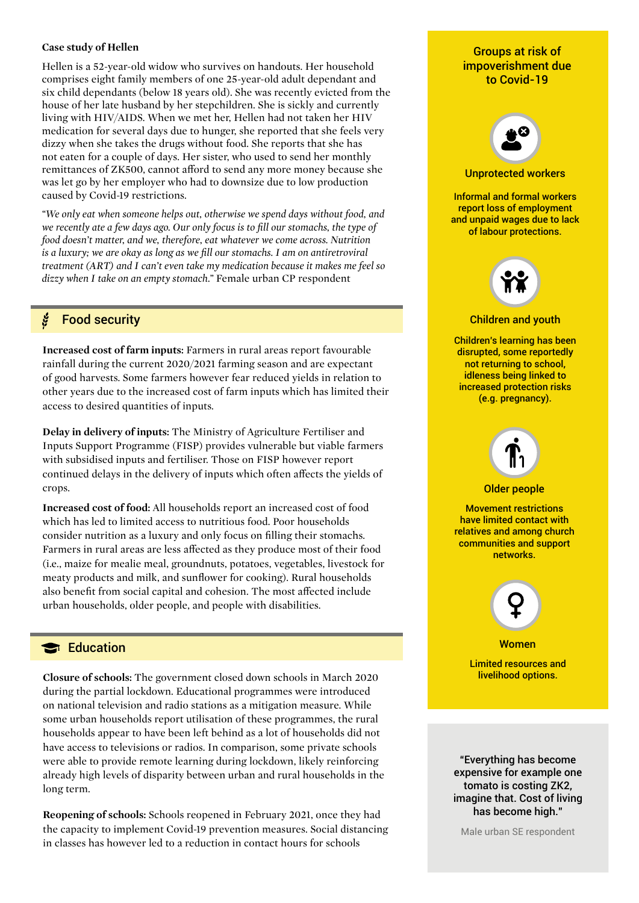#### **Case study of Hellen**

Hellen is a 52-year-old widow who survives on handouts. Her household comprises eight family members of one 25-year-old adult dependant and six child dependants (below 18 years old). She was recently evicted from the house of her late husband by her stepchildren. She is sickly and currently living with HIV/AIDS. When we met her, Hellen had not taken her HIV medication for several days due to hunger, she reported that she feels very dizzy when she takes the drugs without food. She reports that she has not eaten for a couple of days. Her sister, who used to send her monthly remittances of ZK500, cannot afford to send any more money because she was let go by her employer who had to downsize due to low production caused by Covid-19 restrictions.

*"We only eat when someone helps out, otherwise we spend days without food, and we recently ate a few days ago. Our only focus is to fill our stomachs, the type of food doesn't matter, and we, therefore, eat whatever we come across. Nutrition is a luxury; we are okay as long as we fill our stomachs. I am on antiretroviral treatment (ART) and I can't even take my medication because it makes me feel so dizzy when I take on an empty stomach."* Female urban CP respondent

#### ž Food security

**Increased cost of farm inputs:** Farmers in rural areas report favourable rainfall during the current 2020/2021 farming season and are expectant of good harvests. Some farmers however fear reduced yields in relation to other years due to the increased cost of farm inputs which has limited their access to desired quantities of inputs.

**Delay in delivery of inputs:** The Ministry of Agriculture Fertiliser and Inputs Support Programme (FISP) provides vulnerable but viable farmers with subsidised inputs and fertiliser. Those on FISP however report continued delays in the delivery of inputs which often affects the yields of crops.

**Increased cost of food:** All households report an increased cost of food which has led to limited access to nutritious food. Poor households consider nutrition as a luxury and only focus on filling their stomachs. Farmers in rural areas are less affected as they produce most of their food (i.e., maize for mealie meal, groundnuts, potatoes, vegetables, livestock for meaty products and milk, and sunflower for cooking). Rural households also benefit from social capital and cohesion. The most affected include urban households, older people, and people with disabilities.

# Education

**Closure of schools:** The government closed down schools in March 2020 during the partial lockdown. Educational programmes were introduced on national television and radio stations as a mitigation measure. While some urban households report utilisation of these programmes, the rural households appear to have been left behind as a lot of households did not have access to televisions or radios. In comparison, some private schools were able to provide remote learning during lockdown, likely reinforcing already high levels of disparity between urban and rural households in the long term.

**Reopening of schools:** Schools reopened in February 2021, once they had the capacity to implement Covid-19 prevention measures. Social distancing in classes has however led to a reduction in contact hours for schools

## Groups at risk of impoverishment due to Covid-19



#### Unprotected workers

Informal and formal workers report loss of employment and unpaid wages due to lack of labour protections.



#### Children and youth

Children's learning has been disrupted, some reportedly not returning to school, idleness being linked to increased protection risks (e.g. pregnancy).



#### Older people

Movement restrictions have limited contact with relatives and among church communities and support networks.



**Women** 

Limited resources and livelihood options.

"Everything has become expensive for example one tomato is costing ZK2, imagine that. Cost of living has become high."

Male urban SE respondent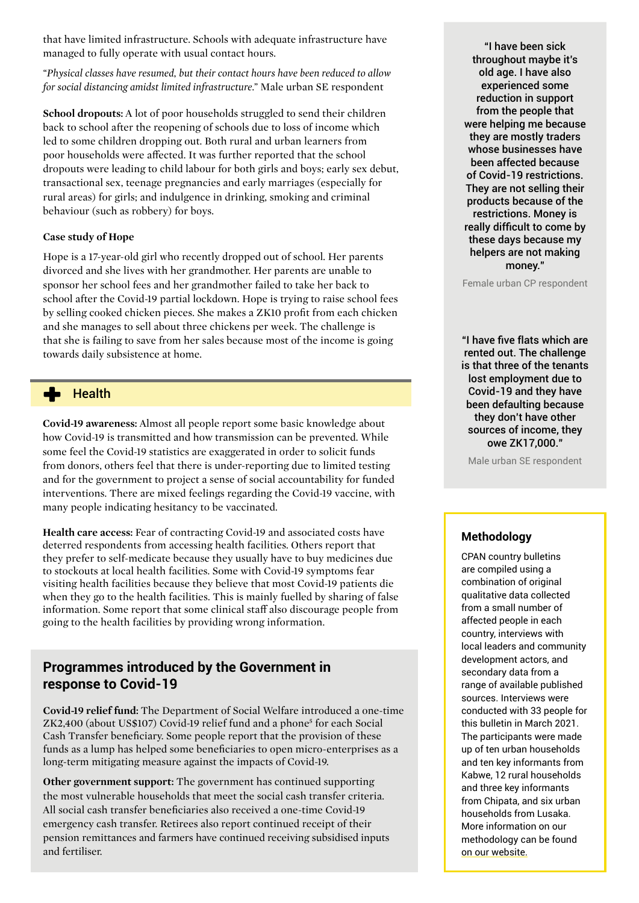that have limited infrastructure. Schools with adequate infrastructure have managed to fully operate with usual contact hours.

*"Physical classes have resumed, but their contact hours have been reduced to allow for social distancing amidst limited infrastructure."* Male urban SE respondent

**School dropouts:** A lot of poor households struggled to send their children back to school after the reopening of schools due to loss of income which led to some children dropping out. Both rural and urban learners from poor households were affected. It was further reported that the school dropouts were leading to child labour for both girls and boys; early sex debut, transactional sex, teenage pregnancies and early marriages (especially for rural areas) for girls; and indulgence in drinking, smoking and criminal behaviour (such as robbery) for boys.

### **Case study of Hope**

Hope is a 17-year-old girl who recently dropped out of school. Her parents divorced and she lives with her grandmother. Her parents are unable to sponsor her school fees and her grandmother failed to take her back to school after the Covid-19 partial lockdown. Hope is trying to raise school fees by selling cooked chicken pieces. She makes a ZK10 profit from each chicken and she manages to sell about three chickens per week. The challenge is that she is failing to save from her sales because most of the income is going towards daily subsistence at home.

#### ▟▖ **Health**

**Covid-19 awareness:** Almost all people report some basic knowledge about how Covid-19 is transmitted and how transmission can be prevented. While some feel the Covid-19 statistics are exaggerated in order to solicit funds from donors, others feel that there is under-reporting due to limited testing and for the government to project a sense of social accountability for funded interventions. There are mixed feelings regarding the Covid-19 vaccine, with many people indicating hesitancy to be vaccinated.

**Health care access:** Fear of contracting Covid-19 and associated costs have deterred respondents from accessing health facilities. Others report that they prefer to self-medicate because they usually have to buy medicines due to stockouts at local health facilities. Some with Covid-19 symptoms fear visiting health facilities because they believe that most Covid-19 patients die when they go to the health facilities. This is mainly fuelled by sharing of false information. Some report that some clinical staff also discourage people from going to the health facilities by providing wrong information.

# **Programmes introduced by the Government in response to Covid-19**

**Covid-19 relief fund:** The Department of Social Welfare introduced a one-time ZK2,400 (about US\$107) Covid-19 relief fund and a phone<sup>5</sup> for each Social Cash Transfer beneficiary. Some people report that the provision of these funds as a lump has helped some beneficiaries to open micro-enterprises as a long-term mitigating measure against the impacts of Covid-19.

**Other government support:** The government has continued supporting the most vulnerable households that meet the social cash transfer criteria. All social cash transfer beneficiaries also received a one-time Covid-19 emergency cash transfer. Retirees also report continued receipt of their pension remittances and farmers have continued receiving subsidised inputs and fertiliser.

"I have been sick throughout maybe it's old age. I have also experienced some reduction in support from the people that were helping me because they are mostly traders whose businesses have been affected because of Covid-19 restrictions. They are not selling their products because of the restrictions. Money is really difficult to come by these days because my helpers are not making money."

Female urban CP respondent

"I have five flats which are rented out. The challenge is that three of the tenants lost employment due to Covid-19 and they have been defaulting because they don't have other sources of income, they owe ZK17,000."

Male urban SE respondent

### **Methodology**

CPAN country bulletins are compiled using a combination of original qualitative data collected from a small number of affected people in each country, interviews with local leaders and community development actors, and secondary data from a range of available published sources. Interviews were conducted with 33 people for this bulletin in March 2021. The participants were made up of ten urban households and ten key informants from Kabwe, 12 rural households and three key informants from Chipata, and six urban households from Lusaka. More information on our methodology can be found [on our website.](http://www.chronicpovertynetwork.org/covid19-methodology)